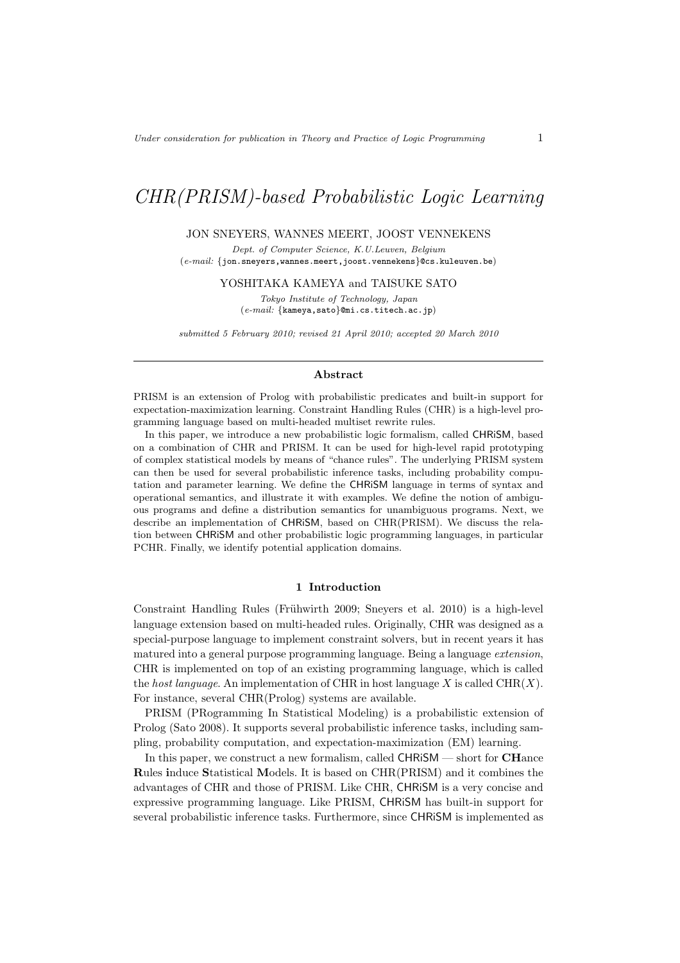# CHR(PRISM)-based Probabilistic Logic Learning

### JON SNEYERS, WANNES MEERT, JOOST VENNEKENS

Dept. of Computer Science, K.U.Leuven, Belgium  $(\emph{e-mail:}$   $\{ \emph{jon}.\emph{supers}$  , wannes .meert , joost . vennekens  $\}$  @cs .kuleuven.be)

YOSHITAKA KAMEYA and TAISUKE SATO

Tokyo Institute of Technology, Japan (e-mail: {kameya,sato}@mi.cs.titech.ac.jp)

submitted 5 February 2010; revised 21 April 2010; accepted 20 March 2010

### Abstract

PRISM is an extension of Prolog with probabilistic predicates and built-in support for expectation-maximization learning. Constraint Handling Rules (CHR) is a high-level programming language based on multi-headed multiset rewrite rules.

In this paper, we introduce a new probabilistic logic formalism, called CHRiSM, based on a combination of CHR and PRISM. It can be used for high-level rapid prototyping of complex statistical models by means of "chance rules". The underlying PRISM system can then be used for several probabilistic inference tasks, including probability computation and parameter learning. We define the CHRiSM language in terms of syntax and operational semantics, and illustrate it with examples. We define the notion of ambiguous programs and define a distribution semantics for unambiguous programs. Next, we describe an implementation of CHRiSM, based on CHR(PRISM). We discuss the relation between CHRiSM and other probabilistic logic programming languages, in particular PCHR. Finally, we identify potential application domains.

### 1 Introduction

Constraint Handling Rules (Frühwirth 2009; Sneyers et al. 2010) is a high-level language extension based on multi-headed rules. Originally, CHR was designed as a special-purpose language to implement constraint solvers, but in recent years it has matured into a general purpose programming language. Being a language extension, CHR is implemented on top of an existing programming language, which is called the host language. An implementation of CHR in host language X is called  $\text{CHR}(X)$ . For instance, several CHR(Prolog) systems are available.

PRISM (PRogramming In Statistical Modeling) is a probabilistic extension of Prolog (Sato 2008). It supports several probabilistic inference tasks, including sampling, probability computation, and expectation-maximization (EM) learning.

In this paper, we construct a new formalism, called CHRiSM — short for CHance Rules induce Statistical Models. It is based on CHR(PRISM) and it combines the advantages of CHR and those of PRISM. Like CHR, CHRiSM is a very concise and expressive programming language. Like PRISM, CHRiSM has built-in support for several probabilistic inference tasks. Furthermore, since CHRiSM is implemented as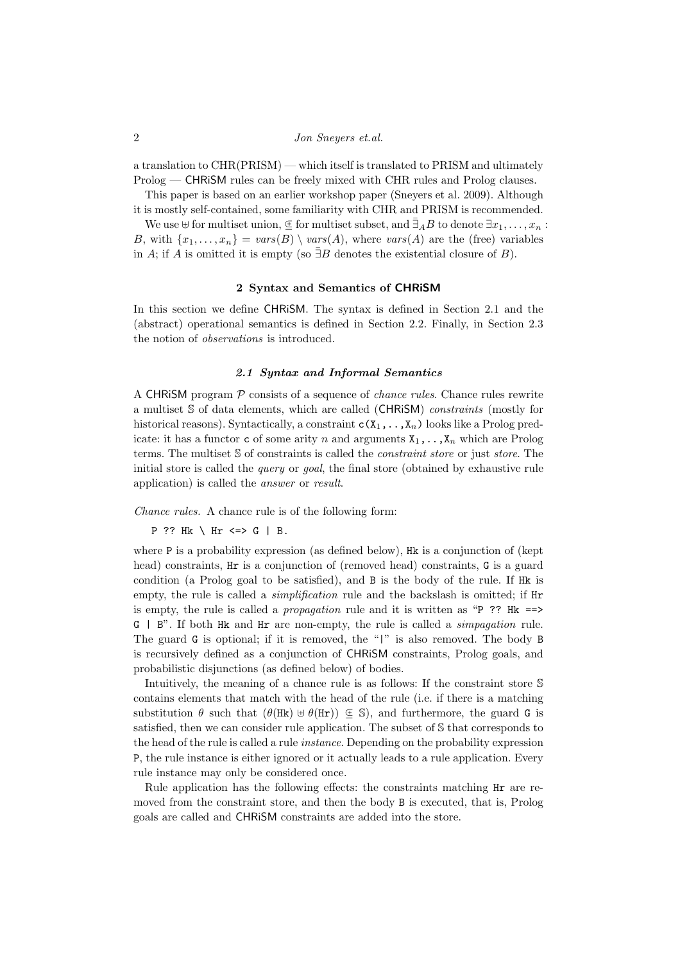a translation to CHR(PRISM) — which itself is translated to PRISM and ultimately Prolog — CHRiSM rules can be freely mixed with CHR rules and Prolog clauses.

This paper is based on an earlier workshop paper (Sneyers et al. 2009). Although it is mostly self-contained, some familiarity with CHR and PRISM is recommended.

We use  $\uplus$  for multiset union,  $\subseteq$  for multiset subset, and  $\bar{\exists}_A B$  to denote  $\exists x_1, \ldots, x_n$ : B, with  $\{x_1, \ldots, x_n\} = vars(B) \setminus vars(A)$ , where  $vars(A)$  are the (free) variables in A; if A is omitted it is empty (so  $\exists B$  denotes the existential closure of B).

# 2 Syntax and Semantics of CHRiSM

In this section we define CHRiSM. The syntax is defined in Section 2.1 and the (abstract) operational semantics is defined in Section 2.2. Finally, in Section 2.3 the notion of observations is introduced.

# 2.1 Syntax and Informal Semantics

A CHRISM program  $P$  consists of a sequence of *chance rules*. Chance rules rewrite a multiset S of data elements, which are called (CHRiSM) constraints (mostly for historical reasons). Syntactically, a constraint  $c(X_1, \ldots, X_n)$  looks like a Prolog predicate: it has a functor c of some arity n and arguments  $X_1, \ldots, X_n$  which are Prolog terms. The multiset S of constraints is called the *constraint store* or just *store*. The initial store is called the *query* or *goal*, the final store (obtained by exhaustive rule application) is called the answer or result.

Chance rules. A chance rule is of the following form:

```
P ?? Hk \ Hr <=> G | B.
```
where P is a probability expression (as defined below), Hk is a conjunction of (kept head) constraints, Hr is a conjunction of (removed head) constraints, G is a guard condition (a Prolog goal to be satisfied), and B is the body of the rule. If Hk is empty, the rule is called a *simplification* rule and the backslash is omitted; if Hr is empty, the rule is called a *propagation* rule and it is written as "P ?? Hk  $==$ >  $G \mid B$ ". If both Hk and Hr are non-empty, the rule is called a *simpagation* rule. The guard G is optional; if it is removed, the "|" is also removed. The body B is recursively defined as a conjunction of CHRiSM constraints, Prolog goals, and probabilistic disjunctions (as defined below) of bodies.

Intuitively, the meaning of a chance rule is as follows: If the constraint store S contains elements that match with the head of the rule (i.e. if there is a matching substitution  $\theta$  such that  $(\theta(Hk) \cup \theta(Hr)) \subseteq S$ , and furthermore, the guard G is satisfied, then we can consider rule application. The subset of S that corresponds to the head of the rule is called a rule instance. Depending on the probability expression P, the rule instance is either ignored or it actually leads to a rule application. Every rule instance may only be considered once.

Rule application has the following effects: the constraints matching Hr are removed from the constraint store, and then the body B is executed, that is, Prolog goals are called and CHRiSM constraints are added into the store.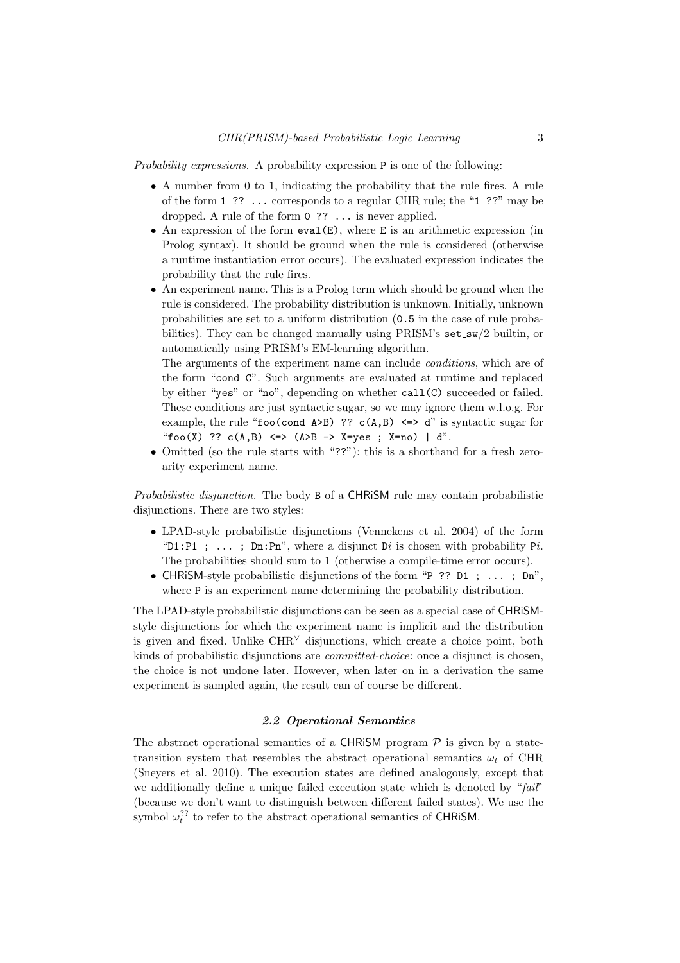Probability expressions. A probability expression P is one of the following:

- A number from 0 to 1, indicating the probability that the rule fires. A rule of the form 1 ?? ... corresponds to a regular CHR rule; the "1 ??" may be dropped. A rule of the form 0 ?? ... is never applied.
- An expression of the form  $eval(E)$ , where E is an arithmetic expression (in Prolog syntax). It should be ground when the rule is considered (otherwise a runtime instantiation error occurs). The evaluated expression indicates the probability that the rule fires.
- An experiment name. This is a Prolog term which should be ground when the rule is considered. The probability distribution is unknown. Initially, unknown probabilities are set to a uniform distribution (0.5 in the case of rule probabilities). They can be changed manually using PRISM's set\_sw/2 builtin, or automatically using PRISM's EM-learning algorithm.

The arguments of the experiment name can include conditions, which are of the form "cond C". Such arguments are evaluated at runtime and replaced by either "yes" or "no", depending on whether call(C) succeeded or failed. These conditions are just syntactic sugar, so we may ignore them w.l.o.g. For example, the rule "foo(cond A>B) ?? c(A,B)  $\leq$  a" is syntactic sugar for "foo(X) ??  $c(A,B) \iff (A>B \to X=yes ; X=no) | d".$ 

• Omitted (so the rule starts with "??"): this is a shorthand for a fresh zeroarity experiment name.

Probabilistic disjunction. The body B of a CHRiSM rule may contain probabilistic disjunctions. There are two styles:

- LPAD-style probabilistic disjunctions (Vennekens et al. 2004) of the form "D1:P1 ; ... ; Dn:Pn", where a disjunct Di is chosen with probability Pi. The probabilities should sum to 1 (otherwise a compile-time error occurs).
- CHRiSM-style probabilistic disjunctions of the form "P ?? D1 ; ... ; Dn", where  $P$  is an experiment name determining the probability distribution.

The LPAD-style probabilistic disjunctions can be seen as a special case of CHRiSMstyle disjunctions for which the experiment name is implicit and the distribution is given and fixed. Unlike CHR<sup>∨</sup> disjunctions, which create a choice point, both kinds of probabilistic disjunctions are committed-choice: once a disjunct is chosen, the choice is not undone later. However, when later on in a derivation the same experiment is sampled again, the result can of course be different.

# 2.2 Operational Semantics

The abstract operational semantics of a CHRISM program  $P$  is given by a statetransition system that resembles the abstract operational semantics  $\omega_t$  of CHR (Sneyers et al. 2010). The execution states are defined analogously, except that we additionally define a unique failed execution state which is denoted by " $fail'$ " (because we don't want to distinguish between different failed states). We use the symbol  $\omega_t^{??}$  to refer to the abstract operational semantics of CHRiSM.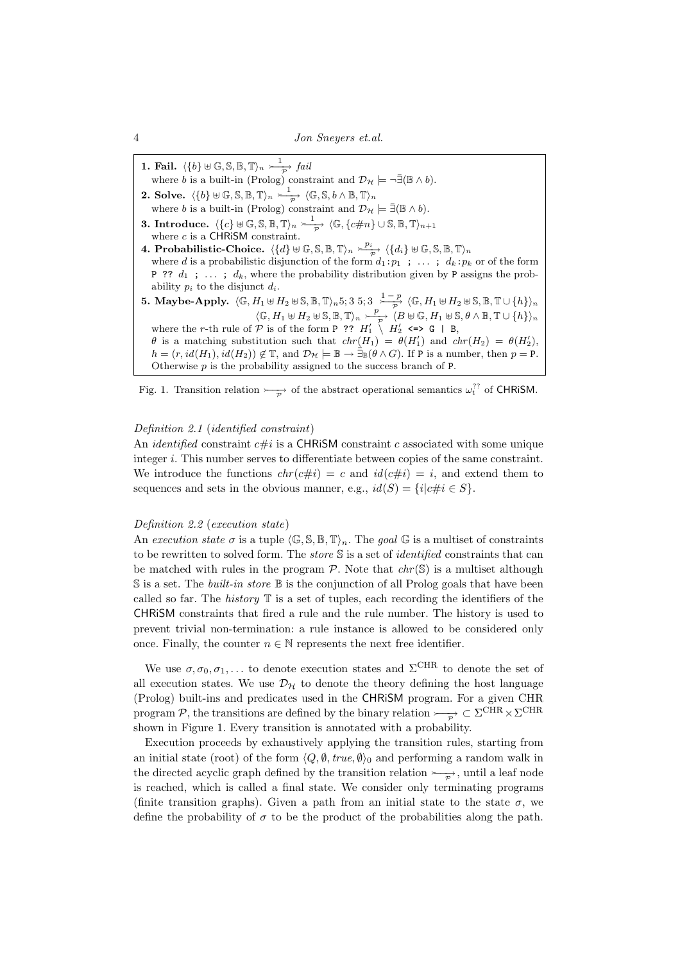1. Fail.  $\langle \{b\} \uplus \mathbb{G}, \mathbb{S}, \mathbb{B}, \mathbb{T} \rangle_n \geq \frac{1}{\mathcal{D}}$  $\Rightarrow$  fail where b is a built-in (Prolog) constraint and  $\mathcal{D}_{\mathcal{H}} \models \neg \exists (\mathbb{B} \land b)$ . 2. Solve.  $\langle \{b\} \uplus \mathbb{G}, \mathbb{S}, \mathbb{B}, \mathbb{T}\rangle_n \stackrel{1}{\longrightarrow}$  $\overrightarrow{P}$   $\langle \mathbb{G}, \mathbb{S}, b \wedge \mathbb{B}, \mathbb{T} \rangle_n$ where b is a built-in (Prolog) constraint and  $\mathcal{D}_{\mathcal{H}} \models \bar{\exists}(\mathbb{B} \wedge b)$ . 3. Introduce.  $\langle \{c\} \uplus \mathbb{G}, \mathbb{S}, \mathbb{B}, \mathbb{T}\rangle_n \stackrel{1}{\longrightarrow}$  $\overrightarrow{P}$   $\langle \mathbb{G}, \{c\#n\} \cup \mathbb{S}, \mathbb{B}, \mathbb{T} \rangle_{n+1}$ where  $c$  is a CHRiSM constraint. 4. Probabilistic-Choice.  $\langle \{d\} \uplus \mathbb{G}, \mathbb{S}, \mathbb{B}, \mathbb{T}\rangle_n \succ^{\overline{p_i}} \langle \{d_i\} \uplus \mathbb{G}, \mathbb{S}, \mathbb{B}, \mathbb{T}\rangle_n$ where d is a probabilistic disjunction of the form  $d_1:p_1$ ; ...;  $d_k:p_k$  or of the form P ??  $d_1$  ; ...;  $d_k$ , where the probability distribution given by P assigns the probability  $p_i$  to the disjunct  $d_i$ . 5. Maybe-Apply.  $\langle \mathbb{G}, H_1 \uplus H_2 \uplus \mathbb{S}, \mathbb{B}, \mathbb{T} \rangle_n$ 5; 3 5; 3  $\frac{1-p}{\gamma}$  $\frac{p}{p} \langle \mathbb{G}, H_1 \uplus H_2 \uplus \mathbb{S}, \mathbb{B}, \mathbb{T} \cup \{h\} \rangle_n$  $\langle \mathbb{G}, H_1 \uplus H_2 \uplus \mathbb{S}, \mathbb{B}, \mathbb{T} \rangle_n \stackrel{p}{\longrightarrow}$  $\overrightarrow{P}$   $\langle B \uplus \mathbb{G}, H_1 \uplus \mathbb{S}, \theta \wedge \mathbb{B}, \mathbb{T} \cup \{h\} \rangle_n$ where the r-th rule of  $P$  is of the form P ??  $H'_1 \nightharpoonup H'_2 \iff G \mid B$ ,  $\theta$  is a matching substitution such that  $chr(H_1) = \theta(H'_1)$  and  $chr(H_2) = \theta(H'_2)$ ,  $h = (r, id(H_1), id(H_2)) \notin \mathbb{T}$ , and  $\mathcal{D}_\mathcal{H} \models \mathbb{B} \to \exists_{\mathbb{B}} (\theta \wedge G)$ . If P is a number, then  $p = P$ . Otherwise  $p$  is the probability assigned to the success branch of  $P$ .

Fig. 1. Transition relation  $\rightarrowtail_{\overline{P}}$  of the abstract operational semantics  $\omega_t^{?}$  of CHRiSM.

### Definition 2.1 (identified constraint)

An *identified* constraint  $c\#i$  is a CHRISM constraint c associated with some unique integer i. This number serves to differentiate between copies of the same constraint. We introduce the functions  $chr(c\#i) = c$  and  $id(c\#i) = i$ , and extend them to sequences and sets in the obvious manner, e.g.,  $id(S) = \{i | c \# i \in S\}.$ 

# Definition 2.2 (execution state)

An execution state  $\sigma$  is a tuple  $\langle \mathbb{G}, \mathbb{S}, \mathbb{B}, \mathbb{T} \rangle_n$ . The goal  $\mathbb{G}$  is a multiset of constraints to be rewritten to solved form. The *store* S is a set of *identified* constraints that can be matched with rules in the program  $P$ . Note that  $chr(S)$  is a multiset although  $S$  is a set. The *built-in store*  $\mathbb B$  is the conjunction of all Prolog goals that have been called so far. The *history*  $\mathbb T$  is a set of tuples, each recording the identifiers of the CHRiSM constraints that fired a rule and the rule number. The history is used to prevent trivial non-termination: a rule instance is allowed to be considered only once. Finally, the counter  $n \in \mathbb{N}$  represents the next free identifier.

We use  $\sigma, \sigma_0, \sigma_1, \ldots$  to denote execution states and  $\Sigma^{\text{CHR}}$  to denote the set of all execution states. We use  $\mathcal{D}_{\mathcal{H}}$  to denote the theory defining the host language (Prolog) built-ins and predicates used in the CHRiSM program. For a given CHR program P, the transitions are defined by the binary relation  $\rightarrowtail\!\!\!\!\!\rightarrow$   $\subset \Sigma^{\rm CHR} \times \Sigma^{\rm CHR}$ shown in Figure 1. Every transition is annotated with a probability.

Execution proceeds by exhaustively applying the transition rules, starting from an initial state (root) of the form  $\langle Q, \emptyset, true, \emptyset \rangle$  and performing a random walk in the directed acyclic graph defined by the transition relation  $\rightarrowtail_{\mathcal{P}}$ , until a leaf node is reached, which is called a final state. We consider only terminating programs (finite transition graphs). Given a path from an initial state to the state  $\sigma$ , we define the probability of  $\sigma$  to be the product of the probabilities along the path.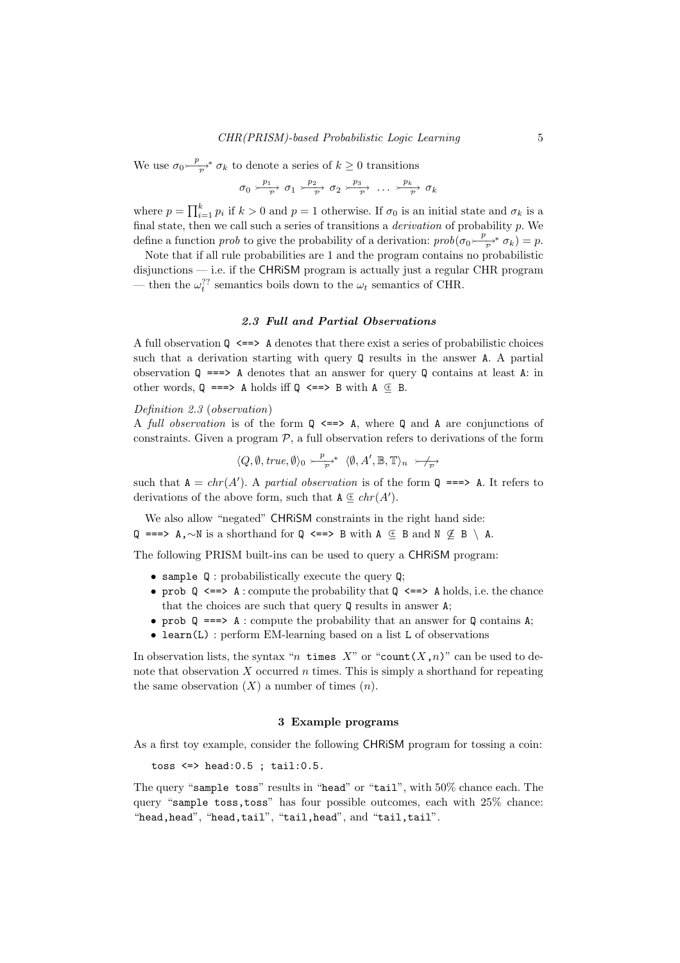We use  $\sigma_0 \xrightarrow{p}$  $\sum_{\mathcal{P}}^* \sigma_k$  to denote a series of  $k \geq 0$  transitions

$$
\sigma_0 \xrightarrow{\frac{p_1}{p}} \sigma_1 \xrightarrow{\frac{p_2}{p}} \sigma_2 \xrightarrow{\frac{p_3}{p}} \dots \xrightarrow{\frac{p_k}{p}} \sigma_k
$$

where  $p = \prod_{i=1}^{k} p_i$  if  $k > 0$  and  $p = 1$  otherwise. If  $\sigma_0$  is an initial state and  $\sigma_k$  is a final state, then we call such a series of transitions a derivation of probability p. We define a function *prob* to give the probability of a derivation:  $prob(\sigma_0 \frac{p}{\sigma^2})$  $\overrightarrow{p}^*$   $\sigma_k$ ) = p.

Note that if all rule probabilities are 1 and the program contains no probabilistic disjunctions — i.e. if the CHRiSM program is actually just a regular CHR program — then the  $\omega_t^{\gamma}$ ? semantics boils down to the  $\omega_t$  semantics of CHR.

# 2.3 Full and Partial Observations

A full observation  $Q \leq => \mathbf{A}$  denotes that there exist a series of probabilistic choices such that a derivation starting with query Q results in the answer A. A partial observation  $\mathbb{Q}$  ==> A denotes that an answer for query  $\mathbb{Q}$  contains at least A: in other words,  $Q \implies A$  holds iff  $Q \leq P$  B with  $A \subseteq B$ .

Definition 2.3 (observation)

A full observation is of the form  $\Omega \leq 2$  A, where  $\Omega$  and A are conjunctions of constraints. Given a program  $P$ , a full observation refers to derivations of the form

$$
\langle Q, \emptyset, \mathit{true}, \emptyset \rangle_0 \rightarrow_{\overrightarrow{P}}^{\mathit{P}} \langle \emptyset, A', \mathbb{B}, \mathbb{T} \rangle_n \rightarrow_{\overrightarrow{P}}
$$

such that  $A = chr(A')$ . A partial observation is of the form  $Q \implies A$ . It refers to derivations of the above form, such that  $A \nsubseteq chr(A')$ .

We also allow "negated" CHRiSM constraints in the right hand side: Q ===> A,∼N is a shorthand for Q <==> B with A  $\text{ } \in \text{ } B$  and N  $\notin \text{ } B \setminus$  A.

The following PRISM built-ins can be used to query a CHRiSM program:

- sample Q : probabilistically execute the query Q;
- prob  $\mathbb Q$   $\iff$  A : compute the probability that  $\mathbb Q$   $\iff$  A holds, i.e. the chance that the choices are such that query Q results in answer A;
- prob  $Q \implies A :$  compute the probability that an answer for Q contains A;
- learn(L) : perform EM-learning based on a list L of observations

In observation lists, the syntax "n times X" or "count  $(X, n)$ " can be used to denote that observation  $X$  occurred  $n$  times. This is simply a shorthand for repeating the same observation  $(X)$  a number of times  $(n)$ .

### 3 Example programs

As a first toy example, consider the following CHRiSM program for tossing a coin:

toss  $\le$  > head: 0.5 ; tail: 0.5.

The query "sample toss" results in "head" or "tail", with 50% chance each. The query "sample toss,toss" has four possible outcomes, each with 25% chance: "head,head", "head,tail", "tail,head", and "tail,tail".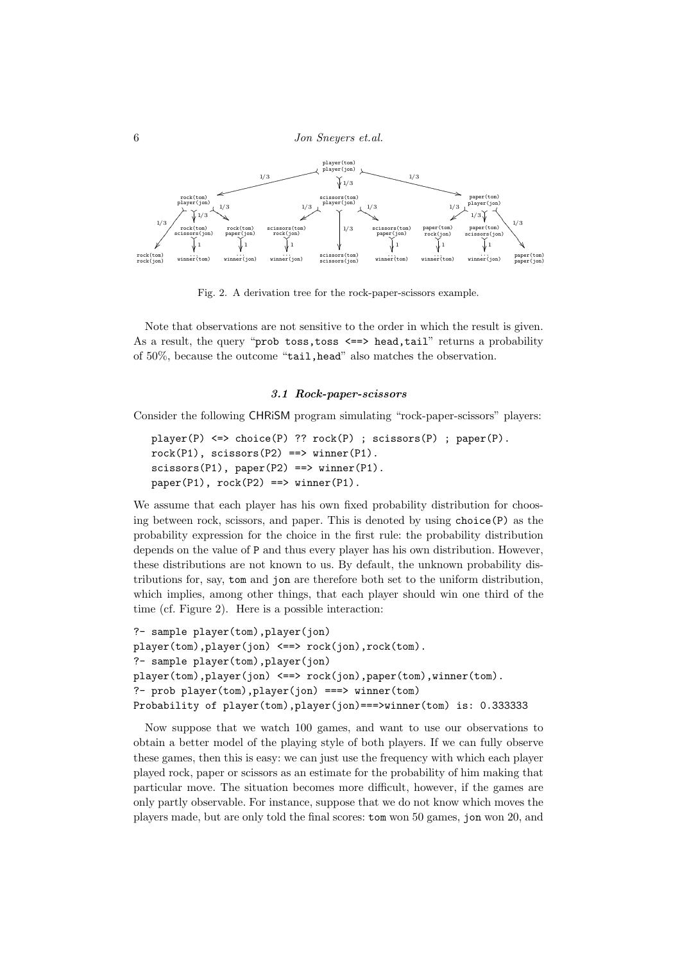6 Jon Sneyers et.al.



Fig. 2. A derivation tree for the rock-paper-scissors example.

Note that observations are not sensitive to the order in which the result is given. As a result, the query "prob toss, toss <==> head, tail" returns a probability of 50%, because the outcome "tail,head" also matches the observation.

### 3.1 Rock-paper-scissors

Consider the following CHRiSM program simulating "rock-paper-scissors" players:

```
player(P) <=> choice(P) ?? rock(P) ; scissors(P) ; paper(P).
rock(P1), scissors(P2) ==& winner(P1).scissors(P1), paper(P2) ==& winner(P1).
paper(P1), rock(P2) == > winner(P1).
```
We assume that each player has his own fixed probability distribution for choosing between rock, scissors, and paper. This is denoted by using  $choice(P)$  as the probability expression for the choice in the first rule: the probability distribution depends on the value of P and thus every player has his own distribution. However, these distributions are not known to us. By default, the unknown probability distributions for, say, tom and jon are therefore both set to the uniform distribution, which implies, among other things, that each player should win one third of the time (cf. Figure 2). Here is a possible interaction:

```
?- sample player(tom),player(jon)
player(tom),player(jon) <==> rock(jon),rock(tom).
?- sample player(tom),player(jon)
player(tom),player(jon) <==> rock(jon),paper(tom),winner(tom).
?- prob player(tom),player(jon) ===> winner(tom)
Probability of player(tom),player(jon)===>winner(tom) is: 0.333333
```
Now suppose that we watch 100 games, and want to use our observations to obtain a better model of the playing style of both players. If we can fully observe these games, then this is easy: we can just use the frequency with which each player played rock, paper or scissors as an estimate for the probability of him making that particular move. The situation becomes more difficult, however, if the games are only partly observable. For instance, suppose that we do not know which moves the players made, but are only told the final scores: tom won 50 games, jon won 20, and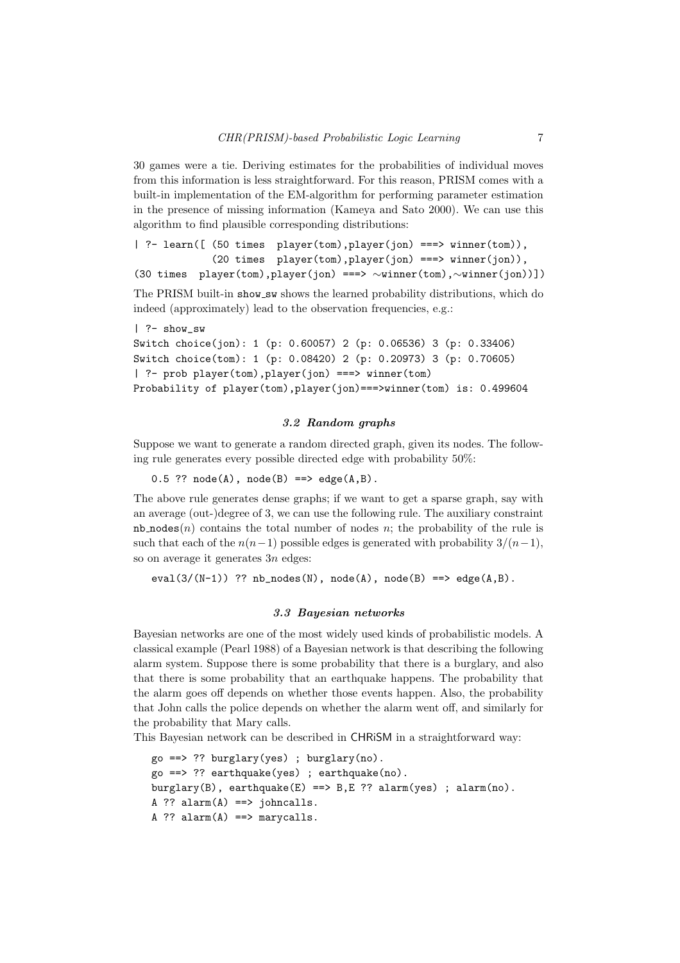30 games were a tie. Deriving estimates for the probabilities of individual moves from this information is less straightforward. For this reason, PRISM comes with a built-in implementation of the EM-algorithm for performing parameter estimation in the presence of missing information (Kameya and Sato 2000). We can use this algorithm to find plausible corresponding distributions:

```
| ?- learn([ (50 times player(tom),player(jon) ===> winner(tom)),
            (20 times player(tom),player(jon) ===> winner(jon)),
(30 times player(tom),player(jon) ===> ∼winner(tom),∼winner(jon))])
```
The PRISM built-in show sw shows the learned probability distributions, which do

```
| ?- show_sw
Switch choice(jon): 1 (p: 0.60057) 2 (p: 0.06536) 3 (p: 0.33406)
Switch choice(tom): 1 (p: 0.08420) 2 (p: 0.20973) 3 (p: 0.70605)
| ?- prob player(tom),player(jon) ===> winner(tom)
Probability of player(tom),player(jon)===>winner(tom) is: 0.499604
```
indeed (approximately) lead to the observation frequencies, e.g.:

# 3.2 Random graphs

Suppose we want to generate a random directed graph, given its nodes. The following rule generates every possible directed edge with probability 50%:

0.5 ??  $node(A)$ ,  $node(B) == > edge(A, B)$ .

The above rule generates dense graphs; if we want to get a sparse graph, say with an average (out-)degree of 3, we can use the following rule. The auxiliary constraint nb nodes $(n)$  contains the total number of nodes n; the probability of the rule is such that each of the  $n(n-1)$  possible edges is generated with probability  $3/(n-1)$ , so on average it generates  $3n$  edges:

eval(3/(N-1)) ??  $nb\_nodes(N)$ ,  $node(A)$ ,  $node(B) == > edge(A, B)$ .

### 3.3 Bayesian networks

Bayesian networks are one of the most widely used kinds of probabilistic models. A classical example (Pearl 1988) of a Bayesian network is that describing the following alarm system. Suppose there is some probability that there is a burglary, and also that there is some probability that an earthquake happens. The probability that the alarm goes off depends on whether those events happen. Also, the probability that John calls the police depends on whether the alarm went off, and similarly for the probability that Mary calls.

This Bayesian network can be described in CHRiSM in a straightforward way:

```
go ==> ?? burglary(yes) ; burglary(no).
go ==> ?? earthquake(yes) ; earthquake(no).
burglary(B), earthquake(E) ==> B,E ?? alarm(yes) ; alarm(no).
A ?? alarm(A) == johncalls.
A ?? alarm(A) ==> marycalls.
```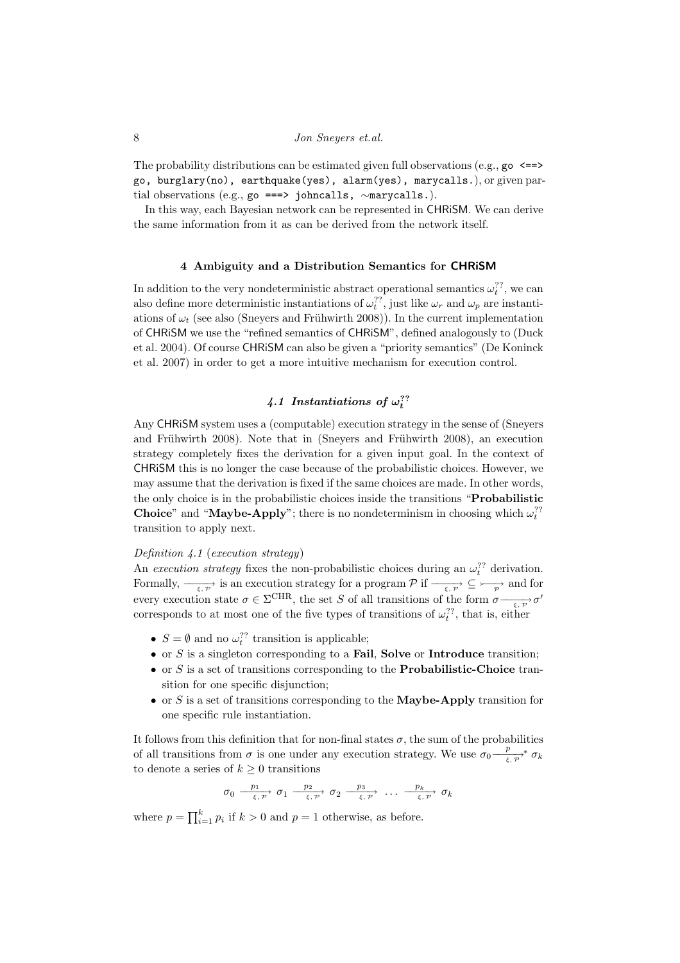The probability distributions can be estimated given full observations (e.g.,  $\gamma \propto \epsilon = 0$ ) go, burglary(no), earthquake(yes), alarm(yes), marycalls.), or given partial observations (e.g., go ===> johncalls, ∼marycalls.).

In this way, each Bayesian network can be represented in CHRiSM. We can derive the same information from it as can be derived from the network itself.

### 4 Ambiguity and a Distribution Semantics for CHRiSM

In addition to the very nondeterministic abstract operational semantics  $\omega_t^{??}$ , we can also define more deterministic instantiations of  $\omega_t^2$ , just like  $\omega_r$  and  $\omega_p$  are instantiations of  $\omega_t$  (see also (Sneyers and Frühwirth 2008)). In the current implementation of CHRiSM we use the "refined semantics of CHRiSM", defined analogously to (Duck et al. 2004). Of course CHRiSM can also be given a "priority semantics" (De Koninck et al. 2007) in order to get a more intuitive mechanism for execution control.

# 4.1 Instantiations of  $\omega_t^{\gamma}$ ?

Any CHRiSM system uses a (computable) execution strategy in the sense of (Sneyers and Frühwirth 2008). Note that in (Sneyers and Frühwirth 2008), an execution strategy completely fixes the derivation for a given input goal. In the context of CHRiSM this is no longer the case because of the probabilistic choices. However, we may assume that the derivation is fixed if the same choices are made. In other words, the only choice is in the probabilistic choices inside the transitions "Probabilistic **Choice**" and "**Maybe-Apply**"; there is no nondeterminism in choosing which  $\omega_t^2$ ? transition to apply next.

# Definition 4.1 (execution strategy)

An execution strategy fixes the non-probabilistic choices during an  $\omega_t^2$  derivation. Formally,  $-\frac{\epsilon}{\epsilon, \rho}$  is an execution strategy for a program  $\mathcal P$  if  $-\frac{\epsilon}{\epsilon, \rho} \subseteq \longrightarrow$  and for every execution state  $\sigma \in \Sigma^{\text{CHR}}$ , the set S of all transitions of the form  $\sigma \longrightarrow_{\xi, \mathcal{P}} \sigma'$ corresponds to at most one of the five types of transitions of  $\omega_t^{??}$ , that is, either

- $S = \emptyset$  and no  $\omega_t^{\gamma}$ ? transition is applicable;
- or  $S$  is a singleton corresponding to a **Fail**, **Solve** or **Introduce** transition;
- or  $S$  is a set of transitions corresponding to the **Probabilistic-Choice** transition for one specific disjunction;
- or S is a set of transitions corresponding to the **Maybe-Apply** transition for one specific rule instantiation.

It follows from this definition that for non-final states  $\sigma$ , the sum of the probabilities of all transitions from  $\sigma$  is one under any execution strategy. We use  $\sigma_0 \frac{p}{\sigma_0}$  $\frac{p}{\xi,\,\mathcal{P}}^* \,\sigma_k$ to denote a series of  $k \geq 0$  transitions

$$
\sigma_0 \xrightarrow{\quad p_1 \quad \ \ p_2 \quad \ \ } \sigma_1 \xrightarrow{\quad p_2 \quad \ \ } \sigma_2 \xrightarrow{\quad p_3 \quad \ \ } \dots \xrightarrow{\quad p_k \quad \ \ } \sigma_k
$$

where  $p = \prod_{i=1}^{k} p_i$  if  $k > 0$  and  $p = 1$  otherwise, as before.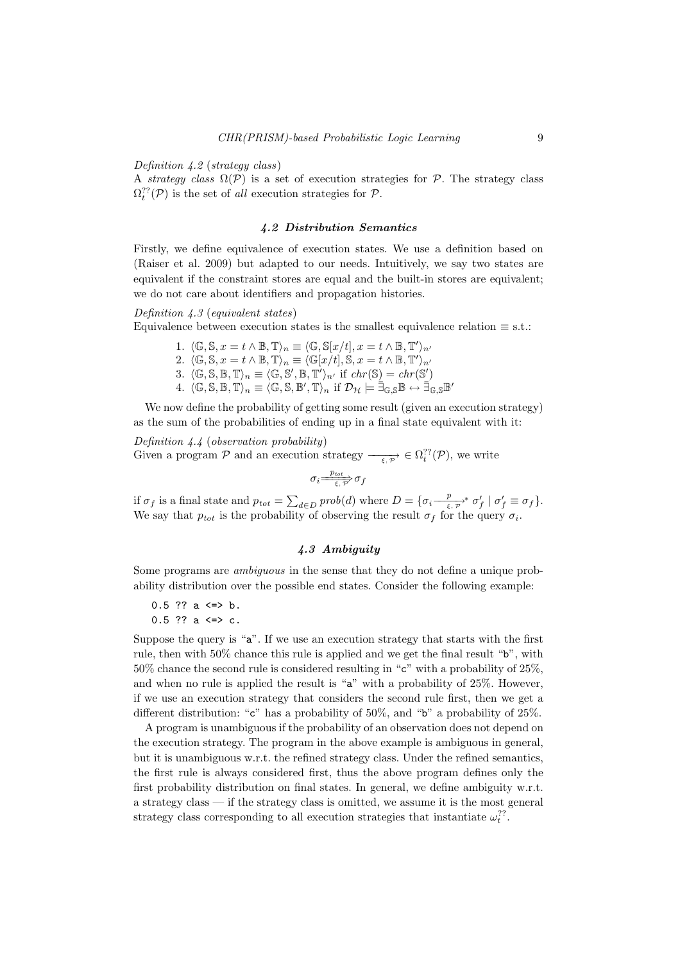### Definition 4.2 (strategy class)

A strategy class  $\Omega(\mathcal{P})$  is a set of execution strategies for  $\mathcal{P}$ . The strategy class  $\Omega_t^{\gamma}(\mathcal{P})$  is the set of all execution strategies for  $\mathcal{P}$ .

# 4.2 Distribution Semantics

Firstly, we define equivalence of execution states. We use a definition based on (Raiser et al. 2009) but adapted to our needs. Intuitively, we say two states are equivalent if the constraint stores are equal and the built-in stores are equivalent; we do not care about identifiers and propagation histories.

# Definition 4.3 (equivalent states)

Equivalence between execution states is the smallest equivalence relation  $\equiv$  s.t.:

- 1.  $\langle \mathbb{G}, \mathbb{S}, x = t \wedge \mathbb{B}, \mathbb{T} \rangle_n \equiv \langle \mathbb{G}, \mathbb{S}[x/t], x = t \wedge \mathbb{B}, \mathbb{T}' \rangle_{n'}$ 2.  $\langle \mathbb{G}, \mathbb{S}, x = t \wedge \mathbb{B}, \mathbb{T} \rangle_n \equiv \langle \mathbb{G}[x/t], \mathbb{S}, x = t \wedge \mathbb{B}, \mathbb{T}' \rangle_{n'}$ 3.  $\langle \mathbb{G}, \mathbb{S}, \mathbb{B}, \mathbb{T} \rangle_n \equiv \langle \mathbb{G}, \mathbb{S}', \mathbb{B}, \mathbb{T}' \rangle_{n'}$  if  $chr(\mathbb{S}) = chr(\mathbb{S}')$
- 4.  $\langle \mathbb{G}, \mathbb{S}, \mathbb{B}, \mathbb{T} \rangle_n \equiv \langle \mathbb{G}, \mathbb{S}, \mathbb{B}', \mathbb{T} \rangle_n$  if  $\mathcal{D}_\mathcal{H} \models \exists_{\mathbb{G}, \mathbb{S}} \mathbb{B} \leftrightarrow \exists_{\mathbb{G}, \mathbb{S}} \mathbb{B}'$

We now define the probability of getting some result (given an execution strategy) as the sum of the probabilities of ending up in a final state equivalent with it:

Definition 4.4 (observation probability) Given a program P and an execution strategy  $-\frac{1}{\xi,\mathcal{P}} \in \Omega_t^{\gamma}(\mathcal{P})$ , we write

$$
\sigma_i \frac{p_{tot}}{\xi, \overline{p'}} \sigma_f
$$

if  $\sigma_f$  is a final state and  $p_{tot} = \sum_{d \in D} prob(d)$  where  $D = \{ \sigma_i \frac{p}{\epsilon, \sigma_i} \}$  $\frac{p}{\xi,\mathcal{P}}^* \sigma'_f \mid \sigma'_f \equiv \sigma_f$ . We say that  $p_{tot}$  is the probability of observing the result  $\sigma_f$  for the query  $\sigma_i$ .

# 4.3 Ambiguity

Some programs are ambiguous in the sense that they do not define a unique probability distribution over the possible end states. Consider the following example:

```
0.5 ?? a \le b.
0.5 ?? a \leq c.
```
Suppose the query is "a". If we use an execution strategy that starts with the first rule, then with 50% chance this rule is applied and we get the final result "b", with 50% chance the second rule is considered resulting in "c" with a probability of 25%, and when no rule is applied the result is "a" with a probability of 25%. However,

if we use an execution strategy that considers the second rule first, then we get a different distribution: "c" has a probability of 50%, and "b" a probability of 25%. A program is unambiguous if the probability of an observation does not depend on the execution strategy. The program in the above example is ambiguous in general, but it is unambiguous w.r.t. the refined strategy class. Under the refined semantics,

the first rule is always considered first, thus the above program defines only the first probability distribution on final states. In general, we define ambiguity w.r.t. a strategy class — if the strategy class is omitted, we assume it is the most general strategy class corresponding to all execution strategies that instantiate  $\omega_t^{??}$ .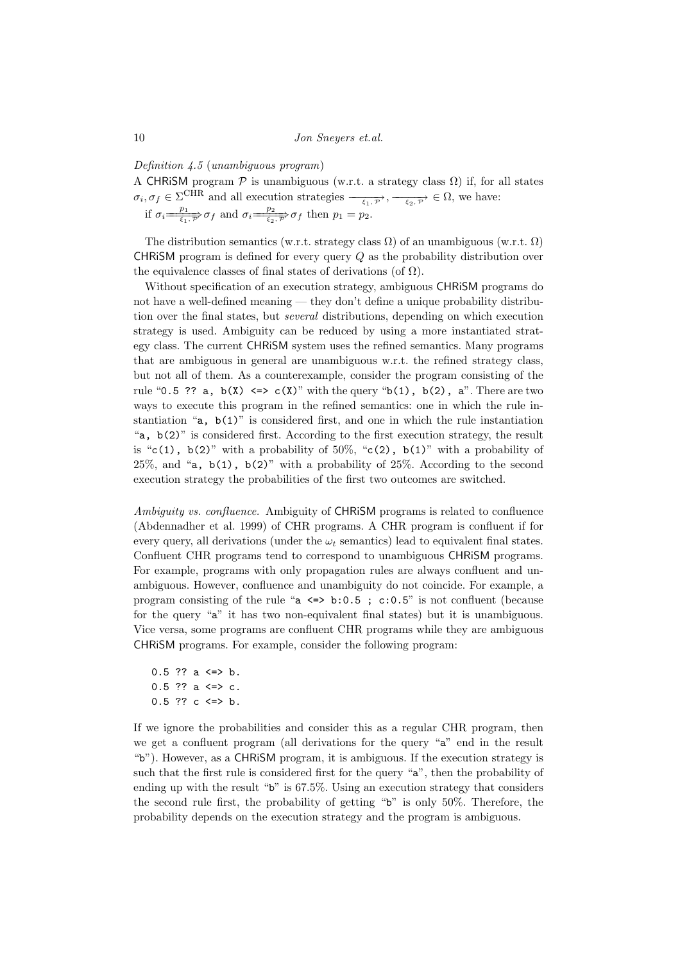### Definition 4.5 (unambiguous program)

A CHRISM program  $\mathcal P$  is unambiguous (w.r.t. a strategy class  $\Omega$ ) if, for all states  $\sigma_i, \sigma_f \in \Sigma^{\text{CHR}}$  and all execution strategies  $\frac{\sigma}{\epsilon_1, \gamma}, \frac{\sigma}{\epsilon_2, \gamma} \in \Omega$ , we have: if  $\sigma_i \stackrel{p_1}{\Longrightarrow}$  $\frac{p_1}{\xi_1, p} \sigma_f$  and  $\sigma_i = \frac{p_2}{\xi_2, p'}$  $\overrightarrow{\xi_2,\overrightarrow{p}}\sigma_f$  then  $p_1=p_2$ .

The distribution semantics (w.r.t. strategy class  $\Omega$ ) of an unambiguous (w.r.t.  $\Omega$ ) CHRISM program is defined for every query  $Q$  as the probability distribution over the equivalence classes of final states of derivations (of  $\Omega$ ).

Without specification of an execution strategy, ambiguous CHRiSM programs do not have a well-defined meaning — they don't define a unique probability distribution over the final states, but several distributions, depending on which execution strategy is used. Ambiguity can be reduced by using a more instantiated strategy class. The current CHRiSM system uses the refined semantics. Many programs that are ambiguous in general are unambiguous w.r.t. the refined strategy class, but not all of them. As a counterexample, consider the program consisting of the rule "0.5 ?? a,  $b(X) \leq b \leq c(X)$ " with the query " $b(1)$ ,  $b(2)$ , a". There are two ways to execute this program in the refined semantics: one in which the rule instantiation "a,  $b(1)$ " is considered first, and one in which the rule instantiation "a, b(2)" is considered first. According to the first execution strategy, the result is "c(1),  $b(2)$ " with a probability of 50%, "c(2),  $b(1)$ " with a probability of  $25\%$ , and "a,  $b(1)$ ,  $b(2)$ " with a probability of  $25\%$ . According to the second execution strategy the probabilities of the first two outcomes are switched.

Ambiguity vs. confluence. Ambiguity of CHRISM programs is related to confluence (Abdennadher et al. 1999) of CHR programs. A CHR program is confluent if for every query, all derivations (under the  $\omega_t$  semantics) lead to equivalent final states. Confluent CHR programs tend to correspond to unambiguous CHRiSM programs. For example, programs with only propagation rules are always confluent and unambiguous. However, confluence and unambiguity do not coincide. For example, a program consisting of the rule " $a \le 5$  b:0.5; c:0.5" is not confluent (because for the query "a" it has two non-equivalent final states) but it is unambiguous. Vice versa, some programs are confluent CHR programs while they are ambiguous CHRiSM programs. For example, consider the following program:

 $0.5$  ?? a  $\le$  b. 0.5 ?? a  $\leq$  > c.  $0.5$  ?? c <=> b.

If we ignore the probabilities and consider this as a regular CHR program, then we get a confluent program (all derivations for the query "a" end in the result "b"). However, as a CHRiSM program, it is ambiguous. If the execution strategy is such that the first rule is considered first for the query "a", then the probability of ending up with the result "b" is 67.5%. Using an execution strategy that considers the second rule first, the probability of getting "b" is only 50%. Therefore, the probability depends on the execution strategy and the program is ambiguous.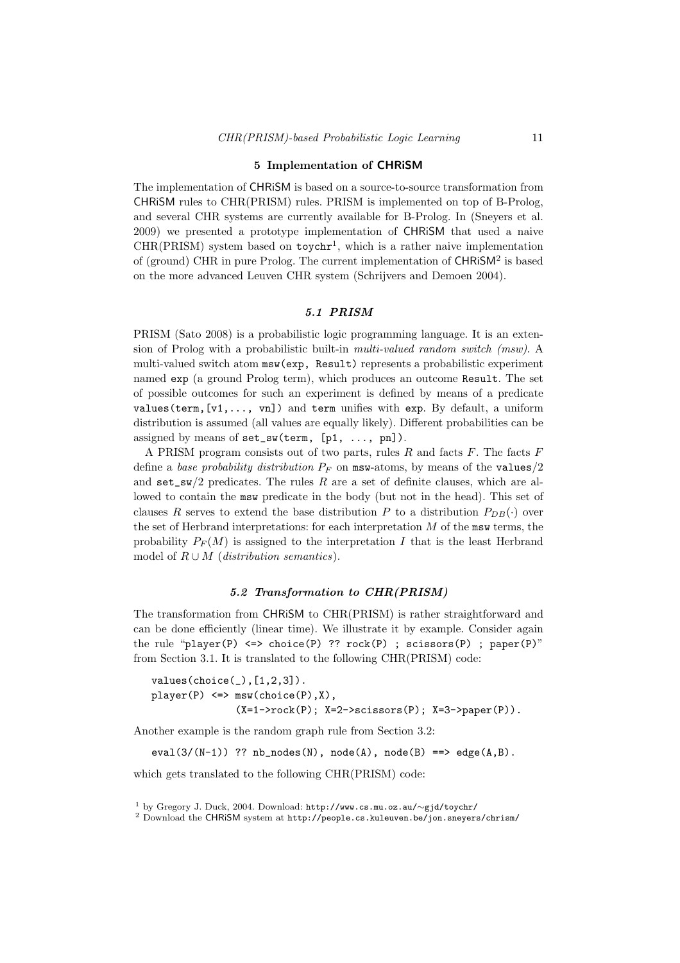### 5 Implementation of CHRiSM

The implementation of CHRiSM is based on a source-to-source transformation from CHRiSM rules to CHR(PRISM) rules. PRISM is implemented on top of B-Prolog, and several CHR systems are currently available for B-Prolog. In (Sneyers et al. 2009) we presented a prototype implementation of CHRiSM that used a naive  $CHR(PRISM)$  system based on  $toychr<sup>1</sup>$ , which is a rather naive implementation of (ground) CHR in pure Prolog. The current implementation of CHRISM<sup>2</sup> is based on the more advanced Leuven CHR system (Schrijvers and Demoen 2004).

# 5.1 PRISM

PRISM (Sato 2008) is a probabilistic logic programming language. It is an extension of Prolog with a probabilistic built-in multi-valued random switch (msw). A multi-valued switch atom msw(exp, Result) represents a probabilistic experiment named exp (a ground Prolog term), which produces an outcome Result. The set of possible outcomes for such an experiment is defined by means of a predicate values(term,  $[v1, \ldots, vn]$ ) and term unifies with exp. By default, a uniform distribution is assumed (all values are equally likely). Different probabilities can be assigned by means of  $set\_sw(term, [p1, ..., pn]).$ 

A PRISM program consists out of two parts, rules  $R$  and facts  $F$ . The facts  $F$ define a base probability distribution  $P_F$  on msw-atoms, by means of the values/2 and  $set\_sw/2$  predicates. The rules R are a set of definite clauses, which are allowed to contain the msw predicate in the body (but not in the head). This set of clauses R serves to extend the base distribution P to a distribution  $P_{DB}(\cdot)$  over the set of Herbrand interpretations: for each interpretation  $M$  of the msw terms, the probability  $P_F(M)$  is assigned to the interpretation I that is the least Herbrand model of  $R \cup M$  (distribution semantics).

# 5.2 Transformation to CHR(PRISM)

The transformation from CHRiSM to CHR(PRISM) is rather straightforward and can be done efficiently (linear time). We illustrate it by example. Consider again the rule "player(P)  $\le$  > choice(P) ?? rock(P) ; scissors(P) ; paper(P)" from Section 3.1. It is translated to the following CHR(PRISM) code:

 $values(choice(\_),[1,2,3])$ .  $player(P) \iff msw(choice(P), X),$  $(X=1->rock(P); X=2->scissors(P); X=3->paper(P)).$ 

Another example is the random graph rule from Section 3.2:

eval(3/(N-1)) ??  $nb\_nodes(N)$ ,  $node(A)$ ,  $node(B) == > edge(A, B)$ .

which gets translated to the following CHR(PRISM) code:

<sup>1</sup> by Gregory J. Duck, 2004. Download: http://www.cs.mu.oz.au/∼gjd/toychr/

<sup>2</sup> Download the CHRiSM system at http://people.cs.kuleuven.be/jon.sneyers/chrism/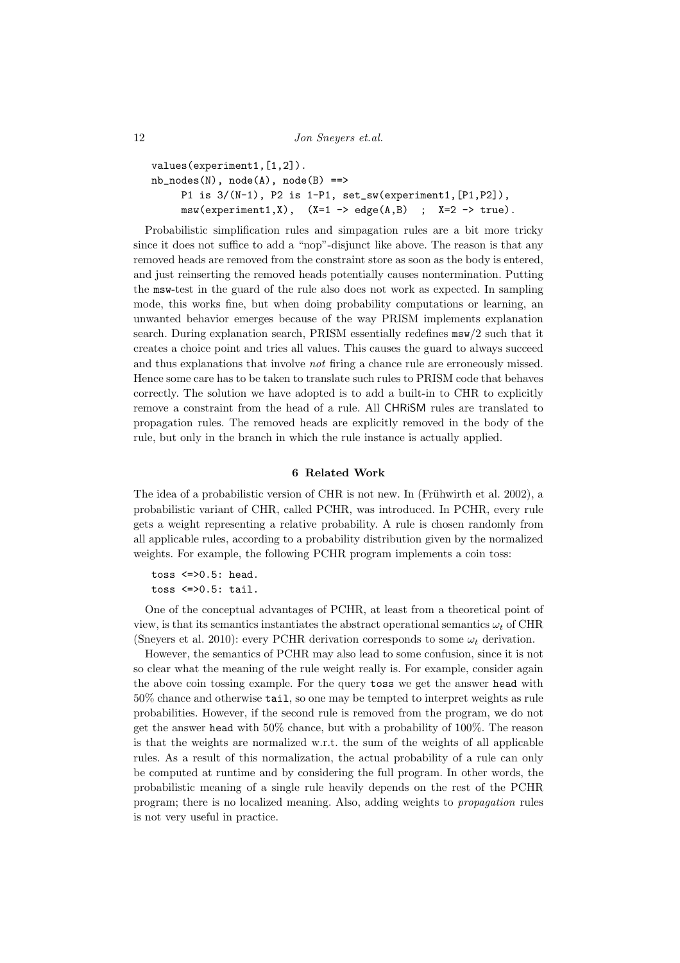12 *Jon Sneyers et.al.* 

```
values(experiment1,[1,2]).
nb\_nodes(N), node(A), node(B) ==P1 is 3/(N-1), P2 is 1-P1, set_sw(experiment1,[P1,P2]),
     msw(experiment1,X), (X=1 \rightarrow edge(A,B); X=2 \rightarrow true).
```
Probabilistic simplification rules and simpagation rules are a bit more tricky since it does not suffice to add a "nop"-disjunct like above. The reason is that any removed heads are removed from the constraint store as soon as the body is entered, and just reinserting the removed heads potentially causes nontermination. Putting the msw-test in the guard of the rule also does not work as expected. In sampling mode, this works fine, but when doing probability computations or learning, an unwanted behavior emerges because of the way PRISM implements explanation search. During explanation search, PRISM essentially redefines msw/2 such that it creates a choice point and tries all values. This causes the guard to always succeed and thus explanations that involve not firing a chance rule are erroneously missed. Hence some care has to be taken to translate such rules to PRISM code that behaves correctly. The solution we have adopted is to add a built-in to CHR to explicitly remove a constraint from the head of a rule. All CHRiSM rules are translated to propagation rules. The removed heads are explicitly removed in the body of the rule, but only in the branch in which the rule instance is actually applied.

# 6 Related Work

The idea of a probabilistic version of CHR is not new. In (Frühwirth et al. 2002), a probabilistic variant of CHR, called PCHR, was introduced. In PCHR, every rule gets a weight representing a relative probability. A rule is chosen randomly from all applicable rules, according to a probability distribution given by the normalized weights. For example, the following PCHR program implements a coin toss:

toss  $\leq$  >0.5: head. toss <=>0.5: tail.

One of the conceptual advantages of PCHR, at least from a theoretical point of view, is that its semantics instantiates the abstract operational semantics  $\omega_t$  of CHR (Sneyers et al. 2010): every PCHR derivation corresponds to some  $\omega_t$  derivation.

However, the semantics of PCHR may also lead to some confusion, since it is not so clear what the meaning of the rule weight really is. For example, consider again the above coin tossing example. For the query toss we get the answer head with 50% chance and otherwise tail, so one may be tempted to interpret weights as rule probabilities. However, if the second rule is removed from the program, we do not get the answer head with 50% chance, but with a probability of 100%. The reason is that the weights are normalized w.r.t. the sum of the weights of all applicable rules. As a result of this normalization, the actual probability of a rule can only be computed at runtime and by considering the full program. In other words, the probabilistic meaning of a single rule heavily depends on the rest of the PCHR program; there is no localized meaning. Also, adding weights to propagation rules is not very useful in practice.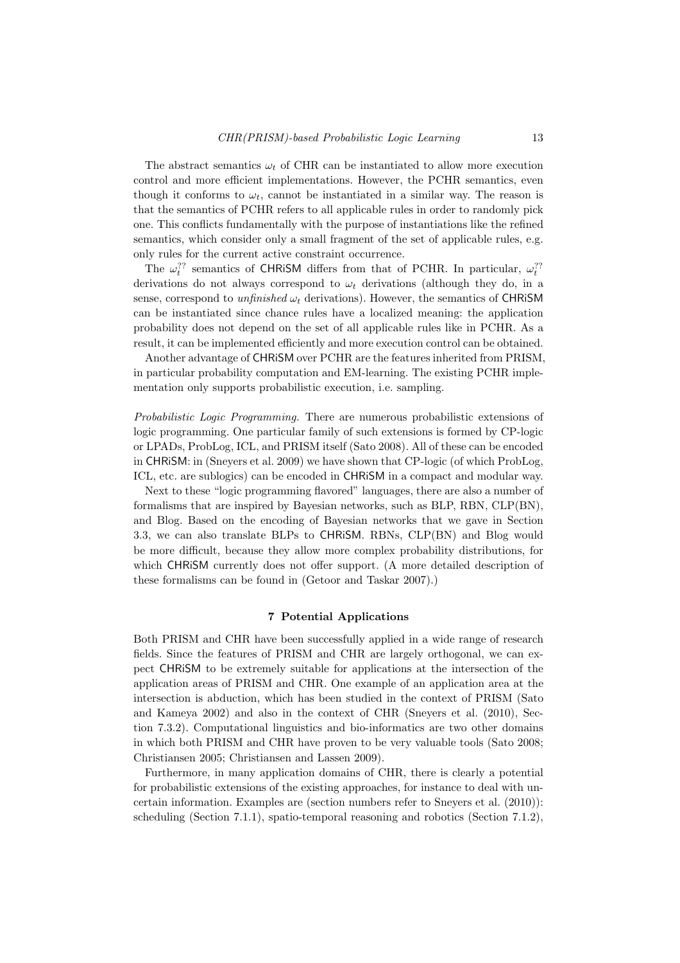The abstract semantics  $\omega_t$  of CHR can be instantiated to allow more execution control and more efficient implementations. However, the PCHR semantics, even though it conforms to  $\omega_t$ , cannot be instantiated in a similar way. The reason is that the semantics of PCHR refers to all applicable rules in order to randomly pick one. This conflicts fundamentally with the purpose of instantiations like the refined semantics, which consider only a small fragment of the set of applicable rules, e.g. only rules for the current active constraint occurrence.

The  $\omega_t^{??}$  semantics of CHRiSM differs from that of PCHR. In particular,  $\omega_t^{??}$ derivations do not always correspond to  $\omega_t$  derivations (although they do, in a sense, correspond to *unfinished*  $\omega_t$  derivations). However, the semantics of CHRISM can be instantiated since chance rules have a localized meaning: the application probability does not depend on the set of all applicable rules like in PCHR. As a result, it can be implemented efficiently and more execution control can be obtained.

Another advantage of CHRiSM over PCHR are the features inherited from PRISM, in particular probability computation and EM-learning. The existing PCHR implementation only supports probabilistic execution, i.e. sampling.

Probabilistic Logic Programming. There are numerous probabilistic extensions of logic programming. One particular family of such extensions is formed by CP-logic or LPADs, ProbLog, ICL, and PRISM itself (Sato 2008). All of these can be encoded in CHRiSM: in (Sneyers et al. 2009) we have shown that CP-logic (of which ProbLog, ICL, etc. are sublogics) can be encoded in CHRiSM in a compact and modular way.

Next to these "logic programming flavored" languages, there are also a number of formalisms that are inspired by Bayesian networks, such as BLP, RBN, CLP(BN), and Blog. Based on the encoding of Bayesian networks that we gave in Section 3.3, we can also translate BLPs to CHRiSM. RBNs, CLP(BN) and Blog would be more difficult, because they allow more complex probability distributions, for which CHRiSM currently does not offer support. (A more detailed description of these formalisms can be found in (Getoor and Taskar 2007).)

### 7 Potential Applications

Both PRISM and CHR have been successfully applied in a wide range of research fields. Since the features of PRISM and CHR are largely orthogonal, we can expect CHRiSM to be extremely suitable for applications at the intersection of the application areas of PRISM and CHR. One example of an application area at the intersection is abduction, which has been studied in the context of PRISM (Sato and Kameya 2002) and also in the context of CHR (Sneyers et al. (2010), Section 7.3.2). Computational linguistics and bio-informatics are two other domains in which both PRISM and CHR have proven to be very valuable tools (Sato 2008; Christiansen 2005; Christiansen and Lassen 2009).

Furthermore, in many application domains of CHR, there is clearly a potential for probabilistic extensions of the existing approaches, for instance to deal with uncertain information. Examples are (section numbers refer to Sneyers et al. (2010)): scheduling (Section 7.1.1), spatio-temporal reasoning and robotics (Section 7.1.2),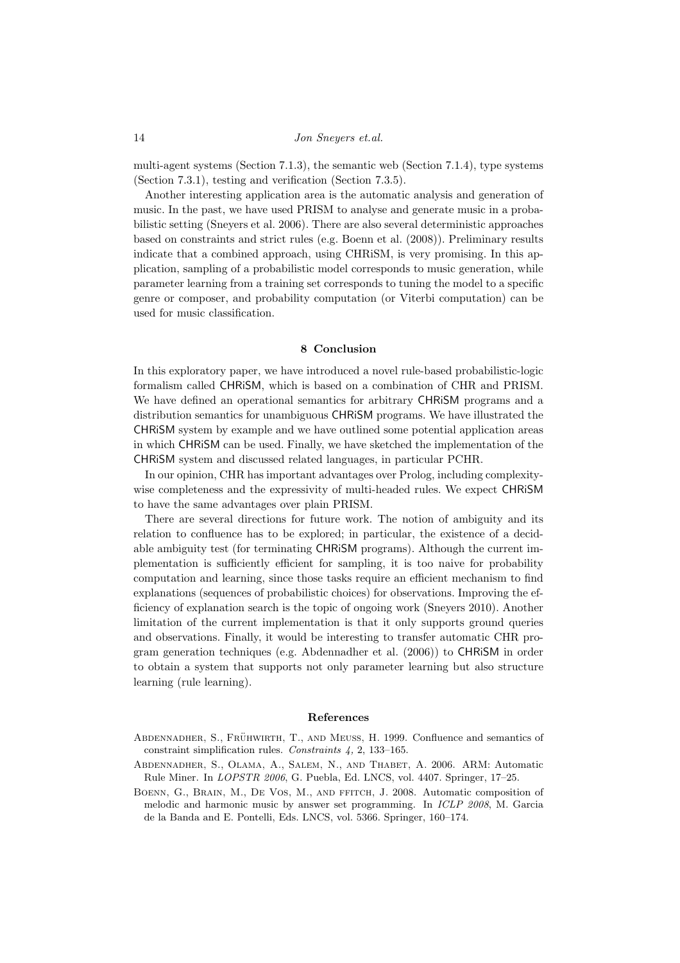multi-agent systems (Section 7.1.3), the semantic web (Section 7.1.4), type systems (Section 7.3.1), testing and verification (Section 7.3.5).

Another interesting application area is the automatic analysis and generation of music. In the past, we have used PRISM to analyse and generate music in a probabilistic setting (Sneyers et al. 2006). There are also several deterministic approaches based on constraints and strict rules (e.g. Boenn et al. (2008)). Preliminary results indicate that a combined approach, using CHRiSM, is very promising. In this application, sampling of a probabilistic model corresponds to music generation, while parameter learning from a training set corresponds to tuning the model to a specific genre or composer, and probability computation (or Viterbi computation) can be used for music classification.

# 8 Conclusion

In this exploratory paper, we have introduced a novel rule-based probabilistic-logic formalism called CHRiSM, which is based on a combination of CHR and PRISM. We have defined an operational semantics for arbitrary CHRiSM programs and a distribution semantics for unambiguous CHRiSM programs. We have illustrated the CHRiSM system by example and we have outlined some potential application areas in which CHRiSM can be used. Finally, we have sketched the implementation of the CHRiSM system and discussed related languages, in particular PCHR.

In our opinion, CHR has important advantages over Prolog, including complexitywise completeness and the expressivity of multi-headed rules. We expect CHRiSM to have the same advantages over plain PRISM.

There are several directions for future work. The notion of ambiguity and its relation to confluence has to be explored; in particular, the existence of a decidable ambiguity test (for terminating CHRiSM programs). Although the current implementation is sufficiently efficient for sampling, it is too naive for probability computation and learning, since those tasks require an efficient mechanism to find explanations (sequences of probabilistic choices) for observations. Improving the efficiency of explanation search is the topic of ongoing work (Sneyers 2010). Another limitation of the current implementation is that it only supports ground queries and observations. Finally, it would be interesting to transfer automatic CHR program generation techniques (e.g. Abdennadher et al. (2006)) to CHRiSM in order to obtain a system that supports not only parameter learning but also structure learning (rule learning).

### References

- ABDENNADHER, S., FRÜHWIRTH, T., AND MEUSS, H. 1999. Confluence and semantics of constraint simplification rules. Constraints 4, 2, 133–165.
- Abdennadher, S., Olama, A., Salem, N., and Thabet, A. 2006. ARM: Automatic Rule Miner. In LOPSTR 2006, G. Puebla, Ed. LNCS, vol. 4407. Springer, 17–25.
- BOENN, G., BRAIN, M., DE VOS, M., AND FFITCH, J. 2008. Automatic composition of melodic and harmonic music by answer set programming. In ICLP 2008, M. Garcia de la Banda and E. Pontelli, Eds. LNCS, vol. 5366. Springer, 160–174.